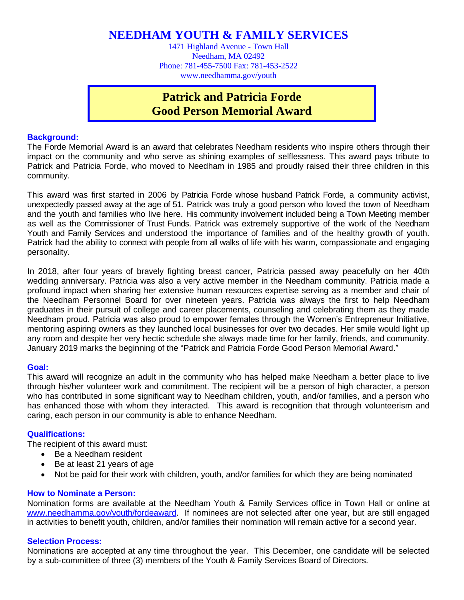**NEEDHAM YOUTH & FAMILY SERVICES**

1471 Highland Avenue - Town Hall Needham, MA 02492 Phone: 781-455-7500 Fax: 781-453-2522 www.needhamma.gov/youth

## **Patrick and Patricia Forde Good Person Memorial Award**

## **Background:**

The Forde Memorial Award is an award that celebrates Needham residents who inspire others through their impact on the community and who serve as shining examples of selflessness. This award pays tribute to Patrick and Patricia Forde, who moved to Needham in 1985 and proudly raised their three children in this community.

This award was first started in 2006 by Patricia Forde whose husband Patrick Forde, a community activist, unexpectedly passed away at the age of 51. Patrick was truly a good person who loved the town of Needham and the youth and families who live here. His community involvement included being a Town Meeting member as well as the Commissioner of Trust Funds. Patrick was extremely supportive of the work of the Needham Youth and Family Services and understood the importance of families and of the healthy growth of youth. Patrick had the ability to connect with people from all walks of life with his warm, compassionate and engaging personality.

In 2018, after four years of bravely fighting breast cancer, Patricia passed away peacefully on her 40th wedding anniversary. Patricia was also a very active member in the Needham community. Patricia made a profound impact when sharing her extensive human resources expertise serving as a member and chair of the Needham Personnel Board for over nineteen years. Patricia was always the first to help Needham graduates in their pursuit of college and career placements, counseling and celebrating them as they made Needham proud. Patricia was also proud to empower females through the Women's Entrepreneur Initiative, mentoring aspiring owners as they launched local businesses for over two decades. Her smile would light up any room and despite her very hectic schedule she always made time for her family, friends, and community. January 2019 marks the beginning of the "Patrick and Patricia Forde Good Person Memorial Award."

### **Goal:**

This award will recognize an adult in the community who has helped make Needham a better place to live through his/her volunteer work and commitment. The recipient will be a person of high character, a person who has contributed in some significant way to Needham children, youth, and/or families, and a person who has enhanced those with whom they interacted. This award is recognition that through volunteerism and caring, each person in our community is able to enhance Needham.

## **Qualifications:**

The recipient of this award must:

- Be a Needham resident
- Be at least 21 years of age
- Not be paid for their work with children, youth, and/or families for which they are being nominated

### **How to Nominate a Person:**

Nomination forms are available at the Needham Youth & Family Services office in Town Hall or online at [www.needhamma.gov/youth/fordeaward.](http://www.needhamma.gov/youth/fordeaward) If nominees are not selected after one year, but are still engaged in activities to benefit youth, children, and/or families their nomination will remain active for a second year.

### **Selection Process:**

Nominations are accepted at any time throughout the year. This December, one candidate will be selected by a sub-committee of three (3) members of the Youth & Family Services Board of Directors.